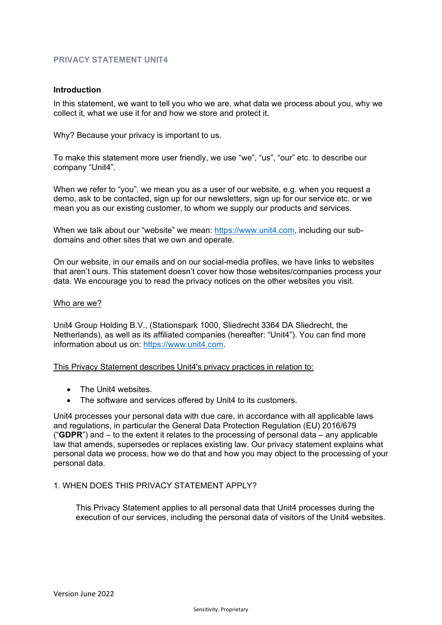# **PRIVACY STATEMENT UNIT4**

#### **Introduction**

In this statement, we want to tell you who we are, what data we process about you, why we collect it, what we use it for and how we store and protect it.

Why? Because your privacy is important to us.

To make this statement more user friendly, we use "we", "us", "our" etc. to describe our company "Unit4".

When we refer to "you", we mean you as a user of our website, e.g. when you request a demo, ask to be contacted, sign up for our newsletters, sign up for our service etc. or we mean you as our existing customer, to whom we supply our products and services.

When we talk about our "website" we mean: [https://www.unit4.com,](https://www.unit4.com/) including our subdomains and other sites that we own and operate.

On our website, in our emails and on our social-media profiles, we have links to websites that aren't ours. This statement doesn't cover how those websites/companies process your data. We encourage you to read the privacy notices on the other websites you visit.

#### Who are we?

Unit4 Group Holding B.V., (Stationspark 1000, Sliedrecht 3364 DA Sliedrecht, the Netherlands), as well as its affiliated companies (hereafter: "Unit4"). You can find more information about us on: [https://www.unit4.com.](https://www.unit4.com/)

This Privacy Statement describes Unit4's privacy practices in relation to:

- The Unit4 websites.
- The software and services offered by Unit4 to its customers.

Unit4 processes your personal data with due care, in accordance with all applicable laws and regulations, in particular the General Data Protection Regulation (EU) 2016/679 ("**GDPR**") and – to the extent it relates to the processing of personal data – any applicable law that amends, supersedes or replaces existing law. Our privacy statement explains what personal data we process, how we do that and how you may object to the processing of your personal data.

### 1. WHEN DOES THIS PRIVACY STATEMENT APPLY?

This Privacy Statement applies to all personal data that Unit4 processes during the execution of our services, including the personal data of visitors of the Unit4 websites.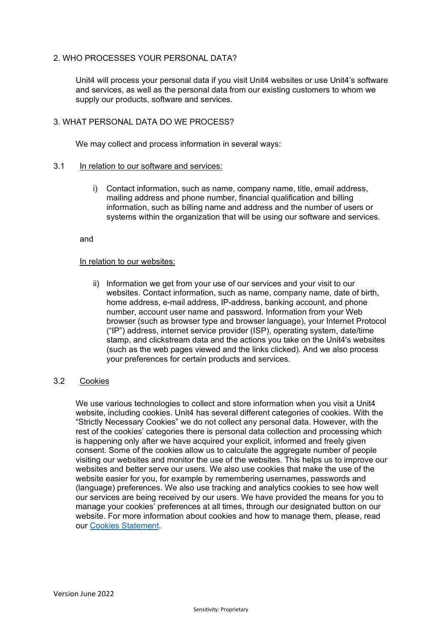# 2. WHO PROCESSES YOUR PERSONAL DATA?

Unit4 will process your personal data if you visit Unit4 websites or use Unit4's software and services, as well as the personal data from our existing customers to whom we supply our products, software and services.

## 3. WHAT PERSONAL DATA DO WE PROCESS?

We may collect and process information in several ways:

### 3.1 In relation to our software and services:

i) Contact information, such as name, company name, title, email address, mailing address and phone number, financial qualification and billing information, such as billing name and address and the number of users or systems within the organization that will be using our software and services.

and

#### In relation to our websites:

ii) Information we get from your use of our services and your visit to our websites. Contact information, such as name, company name, date of birth, home address, e-mail address, IP-address, banking account, and phone number, account user name and password. Information from your Web browser (such as browser type and browser language), your Internet Protocol ("IP") address, internet service provider (ISP), operating system, date/time stamp, and clickstream data and the actions you take on the Unit4's websites (such as the web pages viewed and the links clicked). And we also process your preferences for certain products and services.

### 3.2 Cookies

We use various technologies to collect and store information when you visit a Unit4 website, including cookies. Unit4 has several different categories of cookies. With the "Strictly Necessary Cookies" we do not collect any personal data. However, with the rest of the cookies' categories there is personal data collection and processing which is happening only after we have acquired your explicit, informed and freely given consent. Some of the cookies allow us to calculate the aggregate number of people visiting our websites and monitor the use of the websites. This helps us to improve our websites and better serve our users. We also use cookies that make the use of the website easier for you, for example by remembering usernames, passwords and (language) preferences. We also use tracking and analytics cookies to see how well our services are being received by our users. We have provided the means for you to manage your cookies' preferences at all times, through our designated button on our website. For more information about cookies and how to manage them, please, read our [Cookies Statement.](https://www.unit4.com/terms-and-conditions/cookies-policy)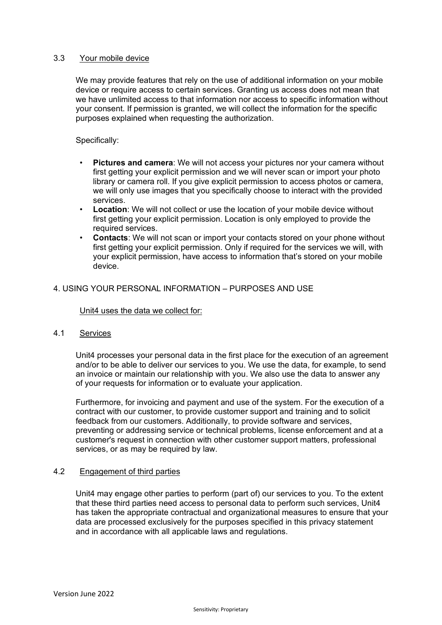### 3.3 Your mobile device

We may provide features that rely on the use of additional information on your mobile device or require access to certain services. Granting us access does not mean that we have unlimited access to that information nor access to specific information without your consent. If permission is granted, we will collect the information for the specific purposes explained when requesting the authorization.

Specifically:

- **Pictures and camera**: We will not access your pictures nor your camera without first getting your explicit permission and we will never scan or import your photo library or camera roll. If you give explicit permission to access photos or camera, we will only use images that you specifically choose to interact with the provided services.
- **Location**: We will not collect or use the location of your mobile device without first getting your explicit permission. Location is only employed to provide the required services.
- **Contacts**: We will not scan or import your contacts stored on your phone without first getting your explicit permission. Only if required for the services we will, with your explicit permission, have access to information that's stored on your mobile device.

# 4. USING YOUR PERSONAL INFORMATION – PURPOSES AND USE

### Unit4 uses the data we collect for:

### 4.1 Services

Unit4 processes your personal data in the first place for the execution of an agreement and/or to be able to deliver our services to you. We use the data, for example, to send an invoice or maintain our relationship with you. We also use the data to answer any of your requests for information or to evaluate your application.

Furthermore, for invoicing and payment and use of the system. For the execution of a contract with our customer, to provide customer support and training and to solicit feedback from our customers. Additionally, to provide software and services, preventing or addressing service or technical problems, license enforcement and at a customer's request in connection with other customer support matters, professional services, or as may be required by law.

### 4.2 Engagement of third parties

Unit4 may engage other parties to perform (part of) our services to you. To the extent that these third parties need access to personal data to perform such services, Unit4 has taken the appropriate contractual and organizational measures to ensure that your data are processed exclusively for the purposes specified in this privacy statement and in accordance with all applicable laws and regulations.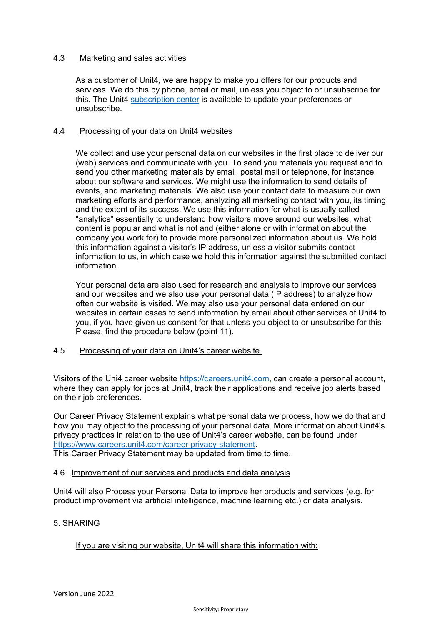### 4.3 Marketing and sales activities

As a customer of Unit4, we are happy to make you offers for our products and services. We do this by phone, email or mail, unless you object to or unsubscribe for this. The Unit4 [subscription center](https://info.unit4.com/Unit4-Subscription-Center-LP.html) is available to update your preferences or unsubscribe.

### 4.4 Processing of your data on Unit4 websites

We collect and use your personal data on our websites in the first place to deliver our (web) services and communicate with you. To send you materials you request and to send you other marketing materials by email, postal mail or telephone, for instance about our software and services. We might use the information to send details of events, and marketing materials. We also use your contact data to measure our own marketing efforts and performance, analyzing all marketing contact with you, its timing and the extent of its success. We use this information for what is usually called "analytics" essentially to understand how visitors move around our websites, what content is popular and what is not and (either alone or with information about the company you work for) to provide more personalized information about us. We hold this information against a visitor's IP address, unless a visitor submits contact information to us, in which case we hold this information against the submitted contact information.

Your personal data are also used for research and analysis to improve our services and our websites and we also use your personal data (IP address) to analyze how often our website is visited. We may also use your personal data entered on our websites in certain cases to send information by email about other services of Unit4 to you, if you have given us consent for that unless you object to or unsubscribe for this Please, find the procedure below (point 11).

### 4.5 Processing of your data on Unit4's career website.

Visitors of the Uni4 career website [https://careers.unit4.com,](https://careers.unit4.com/) can create a personal account, where they can apply for jobs at Unit4, track their applications and receive job alerts based on their job preferences.

Our Career Privacy Statement explains what personal data we process, how we do that and how you may object to the processing of your personal data. More information about Unit4's privacy practices in relation to the use of Unit4's career website, can be found under [https://www.careers.unit4.com/career privacy-statement.](https://www.careers.unit4.com/career%20privacy-statement) This Career Privacy Statement may be updated from time to time.

# 4.6 Improvement of our services and products and data analysis

Unit4 will also Process your Personal Data to improve her products and services (e.g. for product improvement via artificial intelligence, machine learning etc.) or data analysis.

# 5. SHARING

# If you are visiting our website, Unit4 will share this information with: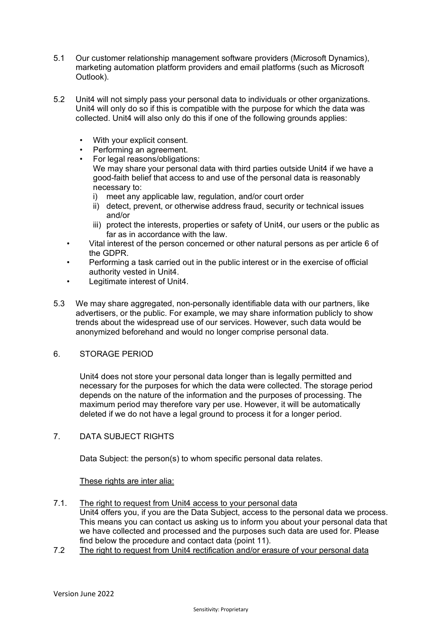- 5.1 Our customer relationship management software providers (Microsoft Dynamics), marketing automation platform providers and email platforms (such as Microsoft Outlook).
- 5.2 Unit4 will not simply pass your personal data to individuals or other organizations. Unit4 will only do so if this is compatible with the purpose for which the data was collected. Unit4 will also only do this if one of the following grounds applies:
	- With your explicit consent.
	- Performing an agreement.
	- For legal reasons/obligations: We may share your personal data with third parties outside Unit4 if we have a good-faith belief that access to and use of the personal data is reasonably necessary to:
		- i) meet any applicable law, regulation, and/or court order
		- ii) detect, prevent, or otherwise address fraud, security or technical issues and/or
		- iii) protect the interests, properties or safety of Unit4, our users or the public as far as in accordance with the law.
	- Vital interest of the person concerned or other natural persons as per article 6 of the GDPR.
	- Performing a task carried out in the public interest or in the exercise of official authority vested in Unit4.
	- Legitimate interest of Unit4.
- 5.3 We may share aggregated, non-personally identifiable data with our partners, like advertisers, or the public. For example, we may share information publicly to show trends about the widespread use of our services. However, such data would be anonymized beforehand and would no longer comprise personal data.

# 6. STORAGE PERIOD

Unit4 does not store your personal data longer than is legally permitted and necessary for the purposes for which the data were collected. The storage period depends on the nature of the information and the purposes of processing. The maximum period may therefore vary per use. However, it will be automatically deleted if we do not have a legal ground to process it for a longer period.

# 7. DATA SUBJECT RIGHTS

Data Subject: the person(s) to whom specific personal data relates.

These rights are inter alia:

- 7.1. The right to request from Unit4 access to your personal data Unit4 offers you, if you are the Data Subject, access to the personal data we process. This means you can contact us asking us to inform you about your personal data that we have collected and processed and the purposes such data are used for. Please find below the procedure and contact data (point 11).
- 7.2 The right to request from Unit4 rectification and/or erasure of your personal data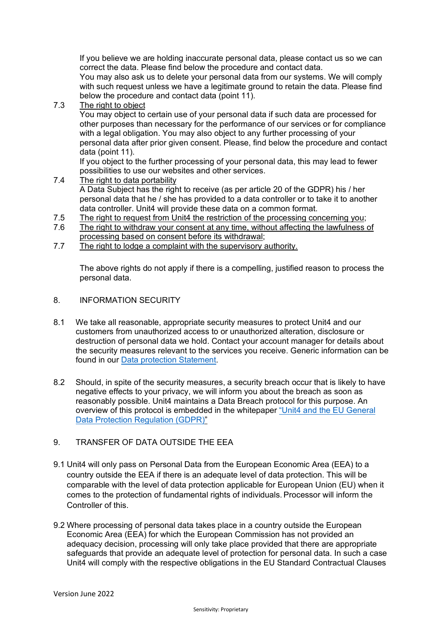If you believe we are holding inaccurate personal data, please contact us so we can correct the data. Please find below the procedure and contact data.

You may also ask us to delete your personal data from our systems. We will comply with such request unless we have a legitimate ground to retain the data. Please find below the procedure and contact data (point 11).

# 7.3 The right to object

You may object to certain use of your personal data if such data are processed for other purposes than necessary for the performance of our services or for compliance with a legal obligation. You may also object to any further processing of your personal data after prior given consent. Please, find below the procedure and contact data (point 11).

If you object to the further processing of your personal data, this may lead to fewer possibilities to use our websites and other services.

### 7.4 The right to data portability

A Data Subject has the right to receive (as per article 20 of the GDPR) his / her personal data that he / she has provided to a data controller or to take it to another data controller. Unit4 will provide these data on a common format.

- 7.5 The right to request from Unit4 the restriction of the processing concerning you;<br>7.6 The right to withdraw your consent at any time without affecting the lawfulness
- The right to withdraw your consent at any time, without affecting the lawfulness of processing based on consent before its withdrawal;
- 7.7 The right to lodge a complaint with the supervisory authority.

The above rights do not apply if there is a compelling, justified reason to process the personal data.

- 8. INFORMATION SECURITY
- 8.1 We take all reasonable, appropriate security measures to protect Unit4 and our customers from unauthorized access to or unauthorized alteration, disclosure or destruction of personal data we hold. Contact your account manager for details about the security measures relevant to the services you receive. Generic information can be found in our [Data protection Statement.](https://www.unit4.com/terms-and-conditions#policies)
- 8.2 Should, in spite of the security measures, a security breach occur that is likely to have negative effects to your privacy, we will inform you about the breach as soon as reasonably possible. Unit4 maintains a Data Breach protocol for this purpose. An overview of this protocol is embedded in the whitepaper ["Unit4 and the EU General](https://info.unit4.com/rs/900-SZD-631/images/Unit4-and-the-General-Data-Protection-Regulation-%28GDPR%29-WP200218INT.pdf)  [Data Protection Regulation \(GDPR\)"](https://info.unit4.com/rs/900-SZD-631/images/Unit4-and-the-General-Data-Protection-Regulation-%28GDPR%29-WP200218INT.pdf)

# 9. TRANSFER OF DATA OUTSIDE THE EEA

- 9.1 Unit4 will only pass on Personal Data from the European Economic Area (EEA) to a country outside the EEA if there is an adequate level of data protection. This will be comparable with the level of data protection applicable for European Union (EU) when it comes to the protection of fundamental rights of individuals.Processor will inform the Controller of this.
- 9.2 Where processing of personal data takes place in a country outside the European Economic Area (EEA) for which the European Commission has not provided an adequacy decision, processing will only take place provided that there are appropriate safeguards that provide an adequate level of protection for personal data. In such a case Unit4 will comply with the respective obligations in the EU Standard Contractual Clauses